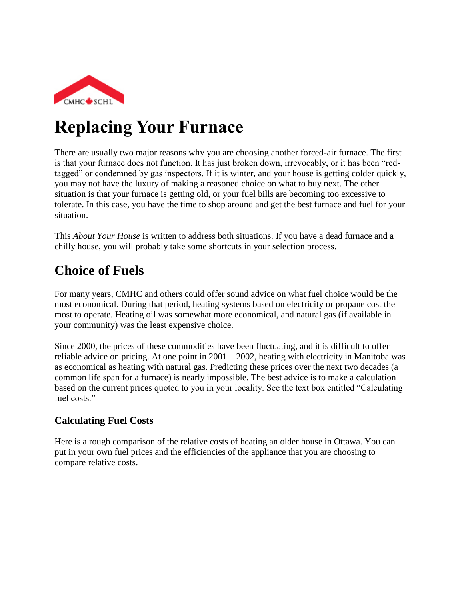

# **Replacing Your Furnace**

There are usually two major reasons why you are choosing another forced-air furnace. The first is that your furnace does not function. It has just broken down, irrevocably, or it has been "redtagged" or condemned by gas inspectors. If it is winter, and your house is getting colder quickly, you may not have the luxury of making a reasoned choice on what to buy next. The other situation is that your furnace is getting old, or your fuel bills are becoming too excessive to tolerate. In this case, you have the time to shop around and get the best furnace and fuel for your situation.

This *About Your House* is written to address both situations. If you have a dead furnace and a chilly house, you will probably take some shortcuts in your selection process.

## **Choice of Fuels**

For many years, CMHC and others could offer sound advice on what fuel choice would be the most economical. During that period, heating systems based on electricity or propane cost the most to operate. Heating oil was somewhat more economical, and natural gas (if available in your community) was the least expensive choice.

Since 2000, the prices of these commodities have been fluctuating, and it is difficult to offer reliable advice on pricing. At one point in  $2001 - 2002$ , heating with electricity in Manitoba was as economical as heating with natural gas. Predicting these prices over the next two decades (a common life span for a furnace) is nearly impossible. The best advice is to make a calculation based on the current prices quoted to you in your locality. See the text box entitled "Calculating fuel costs."

#### **Calculating Fuel Costs**

Here is a rough comparison of the relative costs of heating an older house in Ottawa. You can put in your own fuel prices and the efficiencies of the appliance that you are choosing to compare relative costs.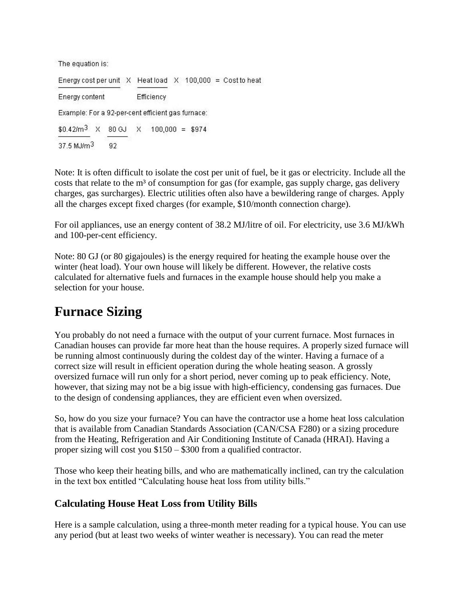The equation is:

Energy cost per unit  $X$  Heat load  $X$  100,000 = Cost to heat Energy content Efficiency Example: For a 92-per-cent efficient gas furnace:  $$0.42/m^3$  X 80 GJ X 100,000 = \$974  $37.5$  MJ/ $m<sup>3</sup>$ 92

Note: It is often difficult to isolate the cost per unit of fuel, be it gas or electricity. Include all the costs that relate to the  $m<sup>3</sup>$  of consumption for gas (for example, gas supply charge, gas delivery charges, gas surcharges). Electric utilities often also have a bewildering range of charges. Apply all the charges except fixed charges (for example, \$10/month connection charge).

For oil appliances, use an energy content of 38.2 MJ/litre of oil. For electricity, use 3.6 MJ/kWh and 100-per-cent efficiency.

Note: 80 GJ (or 80 gigajoules) is the energy required for heating the example house over the winter (heat load). Your own house will likely be different. However, the relative costs calculated for alternative fuels and furnaces in the example house should help you make a selection for your house.

### **Furnace Sizing**

You probably do not need a furnace with the output of your current furnace. Most furnaces in Canadian houses can provide far more heat than the house requires. A properly sized furnace will be running almost continuously during the coldest day of the winter. Having a furnace of a correct size will result in efficient operation during the whole heating season. A grossly oversized furnace will run only for a short period, never coming up to peak efficiency. Note, however, that sizing may not be a big issue with high-efficiency, condensing gas furnaces. Due to the design of condensing appliances, they are efficient even when oversized.

So, how do you size your furnace? You can have the contractor use a home heat loss calculation that is available from Canadian Standards Association (CAN/CSA F280) or a sizing procedure from the Heating, Refrigeration and Air Conditioning Institute of Canada (HRAI). Having a proper sizing will cost you \$150 – \$300 from a qualified contractor.

Those who keep their heating bills, and who are mathematically inclined, can try the calculation in the text box entitled "Calculating house heat loss from utility bills."

#### **Calculating House Heat Loss from Utility Bills**

Here is a sample calculation, using a three-month meter reading for a typical house. You can use any period (but at least two weeks of winter weather is necessary). You can read the meter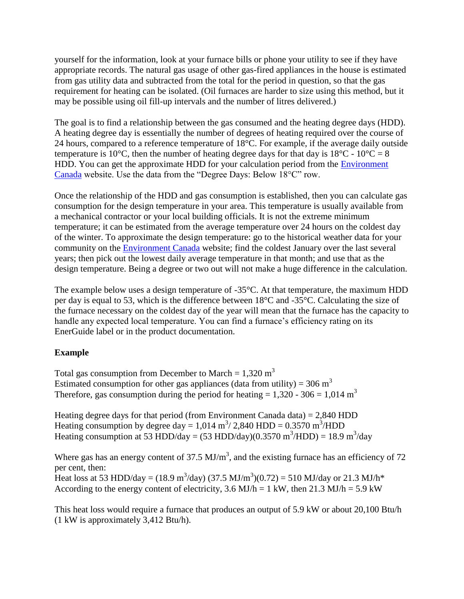yourself for the information, look at your furnace bills or phone your utility to see if they have appropriate records. The natural gas usage of other gas-fired appliances in the house is estimated from gas utility data and subtracted from the total for the period in question, so that the gas requirement for heating can be isolated. (Oil furnaces are harder to size using this method, but it may be possible using oil fill-up intervals and the number of litres delivered.)

The goal is to find a relationship between the gas consumed and the heating degree days (HDD). A heating degree day is essentially the number of degrees of heating required over the course of 24 hours, compared to a reference temperature of 18°C. For example, if the average daily outside temperature is 10°C, then the number of heating degree days for that day is  $18^{\circ}$ C -  $10^{\circ}$ C = 8 HDD. You can get the approximate HDD for your calculation period from the [Environment](http://climate.weatheroffice.ec.gc.ca/climate_normals/index_e.html)  [Canada](http://climate.weatheroffice.ec.gc.ca/climate_normals/index_e.html) website. Use the data from the "Degree Days: Below 18°C" row.

Once the relationship of the HDD and gas consumption is established, then you can calculate gas consumption for the design temperature in your area. This temperature is usually available from a mechanical contractor or your local building officials. It is not the extreme minimum temperature; it can be estimated from the average temperature over 24 hours on the coldest day of the winter. To approximate the design temperature: go to the historical weather data for your community on the [Environment Canada](http://climate.weatheroffice.ec.gc.ca/) website; find the coldest January over the last several years; then pick out the lowest daily average temperature in that month; and use that as the design temperature. Being a degree or two out will not make a huge difference in the calculation.

The example below uses a design temperature of  $-35^{\circ}$ C. At that temperature, the maximum HDD per day is equal to 53, which is the difference between 18°C and -35°C. Calculating the size of the furnace necessary on the coldest day of the year will mean that the furnace has the capacity to handle any expected local temperature. You can find a furnace's efficiency rating on its EnerGuide label or in the product documentation.

#### **Example**

Total gas consumption from December to March =  $1,320 \text{ m}^3$ Estimated consumption for other gas appliances (data from utility) =  $306 \text{ m}^3$ Therefore, gas consumption during the period for heating  $= 1,320 - 306 = 1,014 \text{ m}^3$ 

Heating degree days for that period (from Environment Canada data) =  $2,840$  HDD Heating consumption by degree day =  $1,014 \text{ m}^3 / 2,840 \text{ HDD} = 0.3570 \text{ m}^3/\text{HDD}$ Heating consumption at 53 HDD/day =  $(53 \text{ HDD/day})(0.3570 \text{ m}^3/\text{HDD}) = 18.9 \text{ m}^3/\text{day}$ 

Where gas has an energy content of 37.5  $MJ/m<sup>3</sup>$ , and the existing furnace has an efficiency of 72 per cent, then: Heat loss at 53 HDD/day = (18.9 m<sup>3</sup>/day) (37.5 MJ/m<sup>3</sup>)(0.72) = 510 MJ/day or 21.3 MJ/h<sup>\*</sup> According to the energy content of electricity, 3.6 MJ/h = 1 kW, then 21.3 MJ/h = 5.9 kW

This heat loss would require a furnace that produces an output of 5.9 kW or about 20,100 Btu/h (1 kW is approximately 3,412 Btu/h).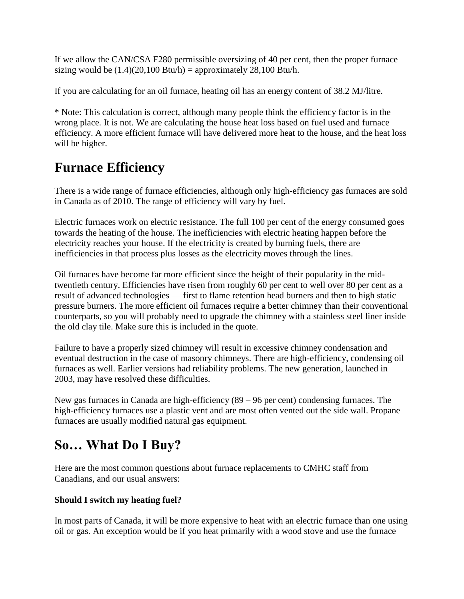If we allow the CAN/CSA F280 permissible oversizing of 40 per cent, then the proper furnace sizing would be  $(1.4)(20,100 \text{ Btu/h}) =$  approximately 28,100 Btu/h.

If you are calculating for an oil furnace, heating oil has an energy content of 38.2 MJ/litre.

\* Note: This calculation is correct, although many people think the efficiency factor is in the wrong place. It is not. We are calculating the house heat loss based on fuel used and furnace efficiency. A more efficient furnace will have delivered more heat to the house, and the heat loss will be higher.

# **Furnace Efficiency**

There is a wide range of furnace efficiencies, although only high-efficiency gas furnaces are sold in Canada as of 2010. The range of efficiency will vary by fuel.

Electric furnaces work on electric resistance. The full 100 per cent of the energy consumed goes towards the heating of the house. The inefficiencies with electric heating happen before the electricity reaches your house. If the electricity is created by burning fuels, there are inefficiencies in that process plus losses as the electricity moves through the lines.

Oil furnaces have become far more efficient since the height of their popularity in the midtwentieth century. Efficiencies have risen from roughly 60 per cent to well over 80 per cent as a result of advanced technologies — first to flame retention head burners and then to high static pressure burners. The more efficient oil furnaces require a better chimney than their conventional counterparts, so you will probably need to upgrade the chimney with a stainless steel liner inside the old clay tile. Make sure this is included in the quote.

Failure to have a properly sized chimney will result in excessive chimney condensation and eventual destruction in the case of masonry chimneys. There are high-efficiency, condensing oil furnaces as well. Earlier versions had reliability problems. The new generation, launched in 2003, may have resolved these difficulties.

New gas furnaces in Canada are high-efficiency (89 – 96 per cent) condensing furnaces. The high-efficiency furnaces use a plastic vent and are most often vented out the side wall. Propane furnaces are usually modified natural gas equipment.

# **So… What Do I Buy?**

Here are the most common questions about furnace replacements to CMHC staff from Canadians, and our usual answers:

#### **Should I switch my heating fuel?**

In most parts of Canada, it will be more expensive to heat with an electric furnace than one using oil or gas. An exception would be if you heat primarily with a wood stove and use the furnace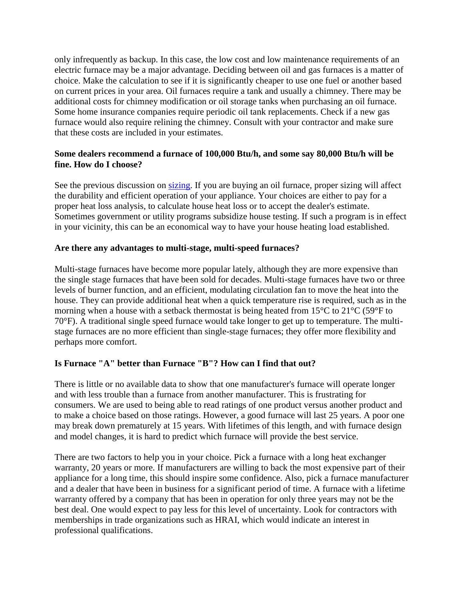only infrequently as backup. In this case, the low cost and low maintenance requirements of an electric furnace may be a major advantage. Deciding between oil and gas furnaces is a matter of choice. Make the calculation to see if it is significantly cheaper to use one fuel or another based on current prices in your area. Oil furnaces require a tank and usually a chimney. There may be additional costs for chimney modification or oil storage tanks when purchasing an oil furnace. Some home insurance companies require periodic oil tank replacements. Check if a new gas furnace would also require relining the chimney. Consult with your contractor and make sure that these costs are included in your estimates.

#### **Some dealers recommend a furnace of 100,000 Btu/h, and some say 80,000 Btu/h will be fine. How do I choose?**

See the previous discussion on [sizing.](http://www.cmhc-schl.gc.ca/en/co/renoho/refash/refash_018.cfm#sizing) If you are buying an oil furnace, proper sizing will affect the durability and efficient operation of your appliance. Your choices are either to pay for a proper heat loss analysis, to calculate house heat loss or to accept the dealer's estimate. Sometimes government or utility programs subsidize house testing. If such a program is in effect in your vicinity, this can be an economical way to have your house heating load established.

#### **Are there any advantages to multi-stage, multi-speed furnaces?**

Multi-stage furnaces have become more popular lately, although they are more expensive than the single stage furnaces that have been sold for decades. Multi-stage furnaces have two or three levels of burner function, and an efficient, modulating circulation fan to move the heat into the house. They can provide additional heat when a quick temperature rise is required, such as in the morning when a house with a setback thermostat is being heated from 15°C to 21°C (59°F to 70°F). A traditional single speed furnace would take longer to get up to temperature. The multistage furnaces are no more efficient than single-stage furnaces; they offer more flexibility and perhaps more comfort.

#### **Is Furnace "A" better than Furnace "B"? How can I find that out?**

There is little or no available data to show that one manufacturer's furnace will operate longer and with less trouble than a furnace from another manufacturer. This is frustrating for consumers. We are used to being able to read ratings of one product versus another product and to make a choice based on those ratings. However, a good furnace will last 25 years. A poor one may break down prematurely at 15 years. With lifetimes of this length, and with furnace design and model changes, it is hard to predict which furnace will provide the best service.

There are two factors to help you in your choice. Pick a furnace with a long heat exchanger warranty, 20 years or more. If manufacturers are willing to back the most expensive part of their appliance for a long time, this should inspire some confidence. Also, pick a furnace manufacturer and a dealer that have been in business for a significant period of time. A furnace with a lifetime warranty offered by a company that has been in operation for only three years may not be the best deal. One would expect to pay less for this level of uncertainty. Look for contractors with memberships in trade organizations such as HRAI, which would indicate an interest in professional qualifications.